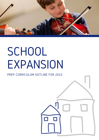

# SCHOOL EXPANSION

#### PREP CURRICULUM OUTLINE FOR 2022

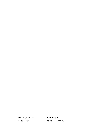#### **C O NSULTANT**

JULIE KEYES

CRISTINA RAPACIOLI **CREAT O R**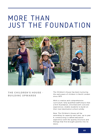### MORE THAN JUST THE FOUNDATION



#### **THE CHILDREN'S H O USE - BUILDING UPWARDS**

The Children's House has been nurturing the early years of children in North London since 1973.

With a creative and comprehensive curriculum, fully qualified staff ensure that a firm foundation, enriched with concrete experiences, enable students to build on their next destination school solidly.

Now, The Children's House will be extending its capacity each year, up to year 6, constructing a crafted education experience with the quality structure and fittings that first brought parents into its doors.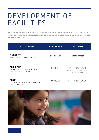# DEVELOPMENT OF FACILITIES

**THE EXPANSI O N WILL SEE THE GR OWTH O F KING HENRY'S WALK, H O USING NEW KEY STAGE 2 FACILITIES AS THE SCH O O L ENLARGES EACH YEAR, FR OM SEPTEMBER 2022**

| <b>DEPARTMENT</b>                                                          | <b>AGE RANGE</b> | <b>LOCATION</b>                                                         |
|----------------------------------------------------------------------------|------------------|-------------------------------------------------------------------------|
| <b>NURSERY</b><br>PRE-SCHOOL - PART & FULL TIME                            | $2.5 - 5$ YEARS  | ELMORE STREET                                                           |
| <b>PRE-PREP</b><br>PREVIOUSLY THE UPPER SCHOOL.<br>WITH RECEPTION - YEAR 2 | 5-7 YEARS        | KING HENRY'S WALK<br>*Reception will move to Elmore<br>Street from 2024 |
| PREP                                                                       | 7-11 YEARS       | KING HENRY"S WALK                                                       |

THE NEW KEY STAGE 2 DEPARTMENT, WITH YEARS 3-6

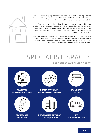To house the new prep department, Elmore Street and King Henry's Walk will undergo extensive refurbishment to the existing facilities, as well as the takeover of the neighbouring church hall.

The expansion will develop the current early years building to include an extra teaching space, creating a provision for the children to use indoor and out seamlessly. Almorah Gardens will continue to be in use as a sports space and other local amenities for soft play and educational visits

The King Henry's Walk site will undergo renovations in the adjacent church hall and school buildings providing new classrooms and a new hall; freshly decorated to provide a beautiful space for lunches, assemblies, drama and other whole school events.



# SPECIALIST SPACES

**F O R T OMO RR OW'S TALENT, T O DAY**

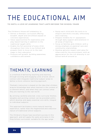# THE EDUCATIONAL AIM

#### **T O INSTIL A L O VE O F LEARNING THAT LASTS BEY O ND THE SCH O O L YEARS**

The Children's House will endeavour to; **Equip each child with the tools to to** 

- Deliver a thematic curriculum offering breadth, depth and enrichment based on concrete experiences
- Value opportunities for exploratory and play-based learning in addition to the traditional taught skills
- Enable the full potential of every child throughout their time in our School and prepare them to move on to the next stage in their education
- Promote self-growth, building awareness, confidence and esteem
- enquire and think critically, reflectively and creatively.
- Prepare children for 11+ assessment through daily support and extension in all areas of learning
- Focus on families and children, with a strong emphasis on pastoral care and community relationships
- Develop genuine respect and value for others and for the environment, with an appreciation for the rich diversity in our School and all around us

#### THEMATIC LEARNING

is a method of delivering teaching and learning through exciting and engaging units of work, which connect and integrate traditional subject areas to deliver a more cohesive learning approach.

Thematic instruction is based on the idea that children acquire knowledge best when learned in the context of a coherent whole, and when they can connect what they are learning to the real world.

By utilising carefully selected, cross-curricular themes, tangible and exciting context can be provided within which develop and apply essential core skills, integral to individual subjects.

This approach facilitates a more natural learning experience, rather than the fragmented and reductive nature of traditional school subjects.

The Children's House have excellent success in this approach, and will apply the same principles in the Prep School curriculum, suitable for the age range.

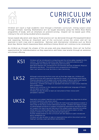

### CURRICULUM **OVERVIEW**

Children will reach a high academic level through a thematic curriculum, linking subject areas through thematic learning. Mathematics will be taught discreetly using the White Rose Maths programme of study, with an emphasis on problem-solving. English will be based upon CPLE, linking to the unit being studied where plausible.

Values-based education and inquiry filled practice will be delivered through Philosophy4Children and reasoning, forming an important part of the curriculum across the school and will be explored in both class and in assemblies. National and international initiatives such as World Book Day, Mental Health Awareness Week and Black History Month will continue to be celebrated.

As children go through the phases of the pre-prep and prep departments, there will be further opportunities for individualisation as they experience and foster new talents through an extensive enrichment offering.

KS1 Children will be introduced to computing and the online safety needed for 21st century. Technology will become a key feature of classroom practice and incorporated into lessons for researching and recording. Specialist teachers are introduced for the discrete learning of Spanish, Physical Education and Music. The existing violin programme will continue. Year 2 will attend the local facilities to learn swimming. LKS2 Although continuing the form tutor set up from key stage one, children will spend more time with specialist teachers for music, art and design and drama. Physical education will broaden with a wide range of dance, sports and martial arts introduced throughout the phase, as well as the continuation of swimming. Children will begin to represent the School in inter-school matches and competitions. Spanish will continue in the classroom and the additional language of French can be taken up as a club. Children will also be able to learn an instrument of their choice with peripatetic teachers. UKS2 Specialist core subject teachers are introduced in upper key stage two to allow a smooth transition into senior school. An expert 11+ programme will be in place for both pupil and parents to assist in every step of the senior school admissions process. Children will begin to work on personalised portfolios to support scholarship submissions and Atom Prime will support the teaching and learning of the subject areas required (including verbal and non-verbal reasoning) for the common entrance exam, to fully prepare children for their next educational destination. Further enhancements to the curriculum will see lessons in Latin introduced and a residential trip. Children will also be able to take on responsibilities within the school such as head girl and boy, pupil parliament and prefects.